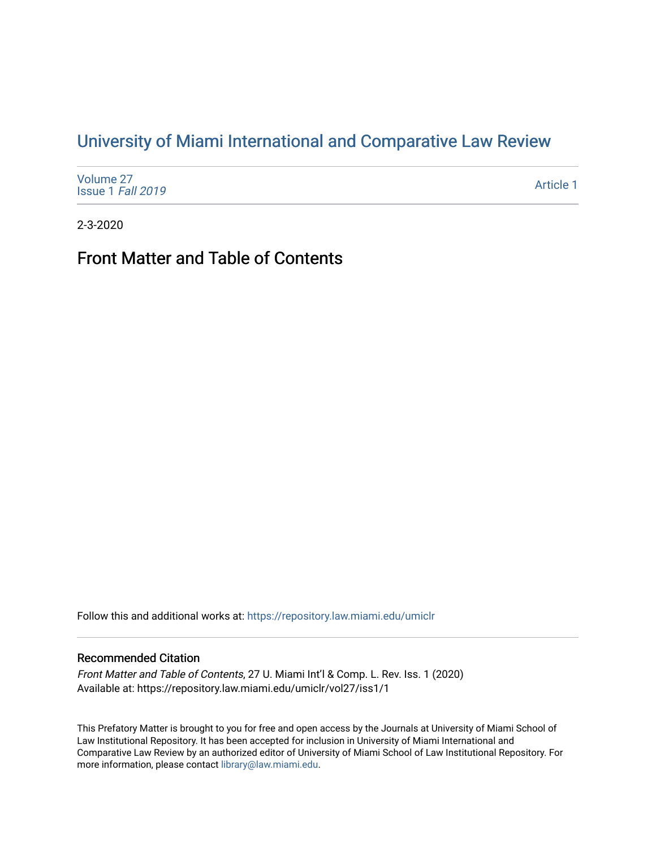# [University of Miami International and Comparative Law Review](https://repository.law.miami.edu/umiclr)

| Volume 27<br>Issue 1 Fall 2019 | Article 1 |
|--------------------------------|-----------|
|--------------------------------|-----------|

2-3-2020

# Front Matter and Table of Contents

Follow this and additional works at: [https://repository.law.miami.edu/umiclr](https://repository.law.miami.edu/umiclr?utm_source=repository.law.miami.edu%2Fumiclr%2Fvol27%2Fiss1%2F1&utm_medium=PDF&utm_campaign=PDFCoverPages)

#### Recommended Citation

Front Matter and Table of Contents, 27 U. Miami Int'l & Comp. L. Rev. Iss. 1 (2020) Available at: https://repository.law.miami.edu/umiclr/vol27/iss1/1

This Prefatory Matter is brought to you for free and open access by the Journals at University of Miami School of Law Institutional Repository. It has been accepted for inclusion in University of Miami International and Comparative Law Review by an authorized editor of University of Miami School of Law Institutional Repository. For more information, please contact [library@law.miami.edu](mailto:library@law.miami.edu).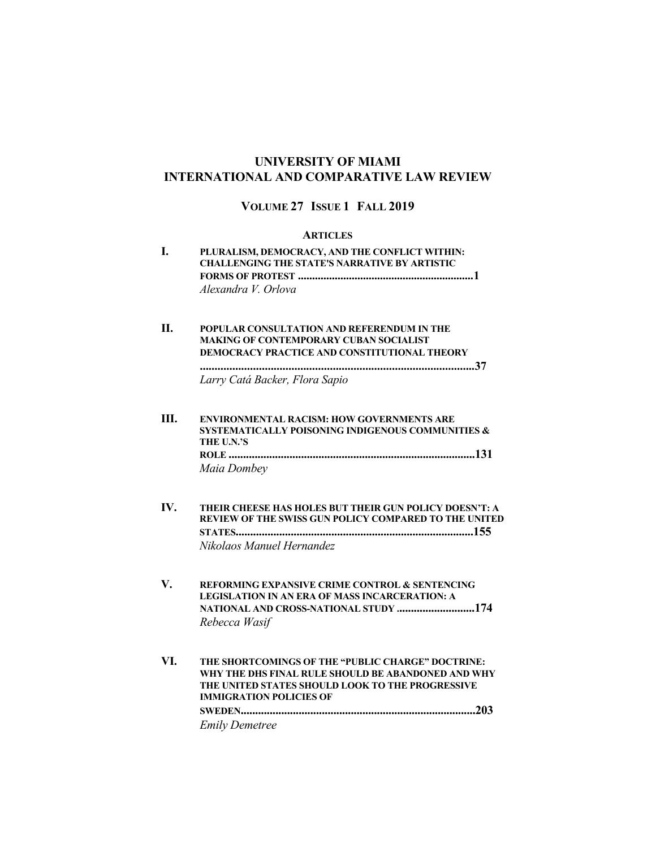## **UNIVERSITY OF MIAMI INTERNATIONAL AND COMPARATIVE LAW REVIEW**

## **VOLUME 27 ISSUE 1 FALL 2019**

#### **ARTICLES**

**I. PLURALISM, DEMOCRACY, AND THE CONFLICT WITHIN: CHALLENGING THE STATE'S NARRATIVE BY ARTISTIC FORMS OF PROTEST ..............................................................1** *Alexandra V. Orlova*

#### **II. POPULAR CONSULTATION AND REFERENDUM IN THE MAKING OF CONTEMPORARY CUBAN SOCIALIST DEMOCRACY PRACTICE AND CONSTITUTIONAL THEORY**

**.............................................................................................37**

*Larry Catá Backer, Flora Sapio*

- **III. ENVIRONMENTAL RACISM: HOW GOVERNMENTS ARE SYSTEMATICALLY POISONING INDIGENOUS COMMUNITIES & THE U.N.'S ROLE .....................................................................................131** *Maia Dombey*
- **IV. THEIR CHEESE HAS HOLES BUT THEIR GUN POLICY DOESN'T: A REVIEW OF THE SWISS GUN POLICY COMPARED TO THE UNITED STATES..................................................................................155**  *Nikolaos Manuel Hernandez*
- **V. REFORMING EXPANSIVE CRIME CONTROL & SENTENCING LEGISLATION IN AN ERA OF MASS INCARCERATION: A NATIONAL AND CROSS-NATIONAL STUDY ...........................174** *Rebecca Wasif*
- **VI. THE SHORTCOMINGS OF THE "PUBLIC CHARGE" DOCTRINE: WHY THE DHS FINAL RULE SHOULD BE ABANDONED AND WHY THE UNITED STATES SHOULD LOOK TO THE PROGRESSIVE IMMIGRATION POLICIES OF SWEDEN.................................................................................203** *Emily Demetree*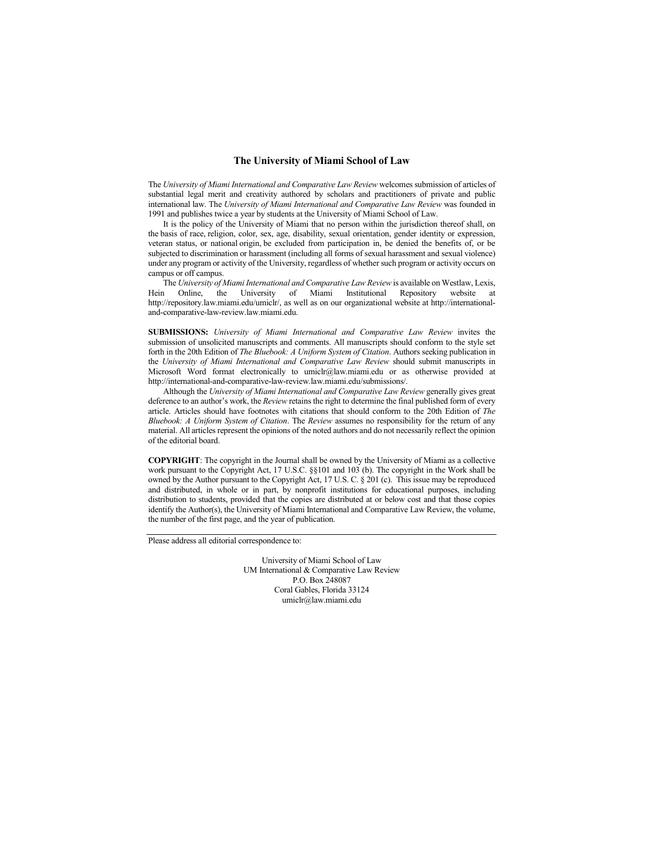#### **The University of Miami School of Law**

The *University of Miami International and Comparative Law Review* welcomes submission of articles of substantial legal merit and creativity authored by scholars and practitioners of private and public international law. The *University of Miami International and Comparative Law Review* was founded in 1991 and publishes twice a year by students at the University of Miami School of Law.

It is the policy of the University of Miami that no person within the jurisdiction thereof shall, on the basis of race, religion, color, sex, age, disability, sexual orientation, gender identity or expression, veteran status, or national origin, be excluded from participation in, be denied the benefits of, or be subjected to discrimination or harassment (including all forms of sexual harassment and sexual violence) under any program or activity of the University, regardless of whether such program or activity occurs on campus or off campus.

The *University of Miami International and Comparative Law Review* is available on Westlaw, Lexis, Hein Online, the University of Miami Institutional Repository website at http://repository.law.miami.edu/umiclr/, as well as on our organizational website at http://internationaland-comparative-law-review.law.miami.edu.

**SUBMISSIONS:** *University of Miami International and Comparative Law Review* invites the submission of unsolicited manuscripts and comments. All manuscripts should conform to the style set forth in the 20th Edition of *The Bluebook: A Uniform System of Citation*. Authors seeking publication in the *University of Miami International and Comparative Law Review* should submit manuscripts in Microsoft Word format electronically to umiclr@law.miami.edu or as otherwise provided at http://international-and-comparative-law-review.law.miami.edu/submissions/.

Although the *University of Miami International and Comparative Law Review* generally gives great deference to an author's work, the *Review* retains the right to determine the final published form of every article. Articles should have footnotes with citations that should conform to the 20th Edition of *The Bluebook: A Uniform System of Citation*. The *Review* assumes no responsibility for the return of any material. All articles represent the opinions of the noted authors and do not necessarily reflect the opinion of the editorial board.

**COPYRIGHT**: The copyright in the Journal shall be owned by the University of Miami as a collective work pursuant to the Copyright Act, 17 U.S.C. §§101 and 103 (b). The copyright in the Work shall be owned by the Author pursuant to the Copyright Act, 17 U.S. C. § 201 (c). This issue may be reproduced and distributed, in whole or in part, by nonprofit institutions for educational purposes, including distribution to students, provided that the copies are distributed at or below cost and that those copies identify the Author(s), the University of Miami International and Comparative Law Review, the volume, the number of the first page, and the year of publication.

Please address all editorial correspondence to:

University of Miami School of Law UM International & Comparative Law Review P.O. Box 248087 Coral Gables, Florida 33124 umiclr@law.miami.edu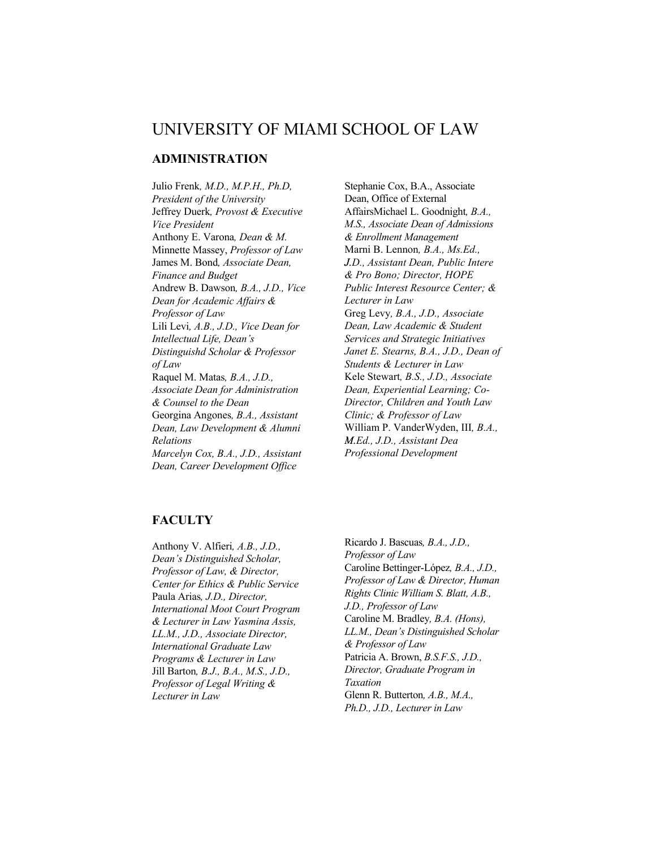# UNIVERSITY OF MIAMI SCHOOL OF LAW

# **ADMINISTRATION**

Julio Frenk*, M.D., M.P.H., Ph.D, President of the University*  Jeffrey Duerk*, Provost & Executive Vice President* Anthony E. Varona*, Dean & M.*  Minnette Massey, *Professor of Law*  James M. Bond*, Associate Dean, Finance and Budget* Andrew B. Dawson*, B.A., J.D., Vice Dean for Academic Affairs & Professor of Law*  Lili Levi*, A.B., J.D., Vice Dean for Intellectual Life, Dean's Distinguishd Scholar & Professor of Law* Raquel M. Matas*, B.A., J.D., Associate Dean for Administration & Counsel to the Dean*  Georgina Angones*, B.A., Assistant Dean, Law Development & Alumni Relations Marcelyn Cox, B.A., J.D., Assistant Dean, Career Development Office*

Stephanie Cox, B.A., Associate Dean, Office of External AffairsMichael L. Goodnight*, B.A., M.S., Associate Dean of Admissions & Enrollment Management* Marni B. Lennon*, B.A., Ms.Ed., J.D., Assistant Dean, Public Intere & Pro Bono; Director, HOPE Public Interest Resource Center; & Lecturer in Law* Greg Levy*, B.A., J.D., Associate Dean, Law Academic & Student Services and Strategic Initiatives Janet E. Stearns, B.A., J.D., Dean of Students & Lecturer in Law* Kele Stewart*, B.S., J.D., Associate Dean, Experiential Learning; Co-Director, Children and Youth Law Clinic; & Professor of Law* William P. VanderWyden, III*, B.A., M.Ed., J.D., Assistant Dea Professional Development*

### **FACULTY**

Anthony V. Alfieri*, A.B., J.D., Dean's Distinguished Scholar, Professor of Law, & Director, Center for Ethics & Public Service* Paula Arias*, J.D., Director, International Moot Court Program & Lecturer in Law Yasmina Assis, LL.M., J.D., Associate Director, International Graduate Law Programs & Lecturer in Law* Jill Barton*, B.J., B.A., M.S., J.D., Professor of Legal Writing & Lecturer in Law*

Ricardo J. Bascuas*, B.A., J.D., Professor of Law* Caroline Bettinger-López*, B.A., J.D., Professor of Law & Director, Human Rights Clinic William S. Blatt, A.B., J.D., Professor of Law* Caroline M. Bradley*, B.A. (Hons), LL.M., Dean's Distinguished Scholar & Professor of Law* Patricia A. Brown, *B.S.F.S., J.D., Director, Graduate Program in Taxation* Glenn R. Butterton*, A.B., M.A., Ph.D., J.D., Lecturer in Law*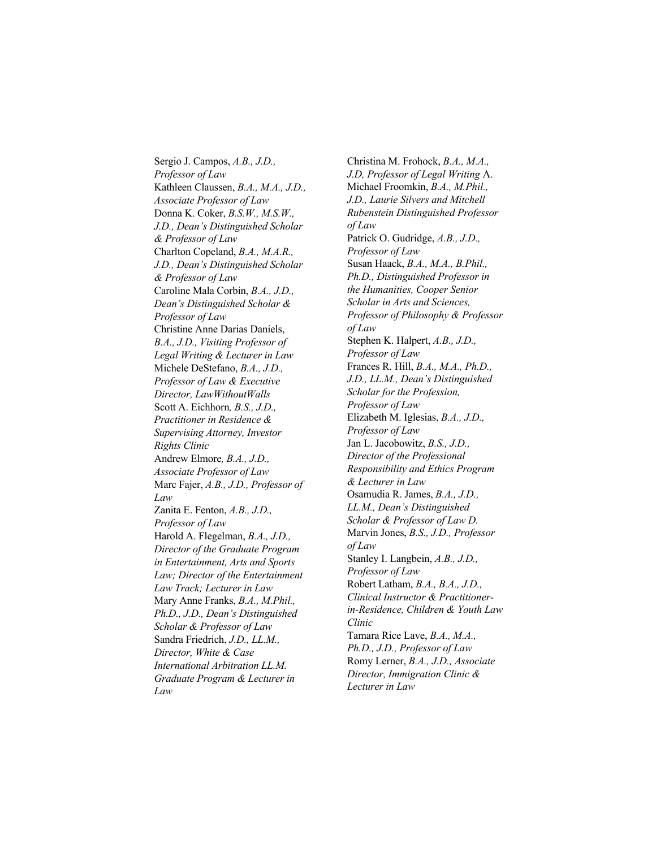Sergio J. Campos, *A.B., J.D., Professor of Law* Kathleen Claussen, *B.A., M.A., J.D., Associate Professor of Law* Donna K. Coker, *B.S.W., M.S.W., J.D., Dean's Distinguished Scholar & Professor of Law* Charlton Copeland, *B.A., M.A.R., J.D., Dean's Distinguished Scholar & Professor of Law* Caroline Mala Corbin, *B.A., J.D., Dean's Distinguished Scholar & Professor of Law* Christine Anne Darias Daniels, *B.A., J.D., Visiting Professor of Legal Writing & Lecturer in Law* Michele DeStefano, *B.A., J.D., Professor of Law & Executive Director, LawWithoutWalls* Scott A. Eichhorn*, B.S., J.D., Practitioner in Residence & Supervising Attorney, Investor Rights Clinic* Andrew Elmore*, B.A., J.D., Associate Professor of Law* Marc Fajer, *A.B., J.D., Professor of Law* Zanita E. Fenton, *A.B., J.D., Professor of Law* Harold A. Flegelman, *B.A., J.D., Director of the Graduate Program in Entertainment, Arts and Sports Law; Director of the Entertainment Law Track; Lecturer in Law* Mary Anne Franks, *B.A., M.Phil., Ph.D., J.D., Dean's Distinguished Scholar & Professor of Law* Sandra Friedrich, *J.D., LL.M., Director, White & Case International Arbitration LL.M. Graduate Program & Lecturer in Law*

Christina M. Frohock, *B.A., M.A., J.D, Professor of Legal Writing* A. Michael Froomkin, *B.A., M.Phil., J.D., Laurie Silvers and Mitchell Rubenstein Distinguished Professor of Law* Patrick O. Gudridge, *A.B., J.D., Professor of Law* Susan Haack, *B.A., M.A., B.Phil., Ph.D., Distinguished Professor in the Humanities, Cooper Senior Scholar in Arts and Sciences, Professor of Philosophy & Professor of Law* Stephen K. Halpert, *A.B., J.D., Professor of Law* Frances R. Hill, *B.A., M.A., Ph.D., J.D., LL.M., Dean's Distinguished Scholar for the Profession, Professor of Law* Elizabeth M. Iglesias, *B.A., J.D., Professor of Law* Jan L. Jacobowitz, *B.S., J.D., Director of the Professional Responsibility and Ethics Program & Lecturer in Law* Osamudia R. James, *B.A., J.D., LL.M., Dean's Distinguished Scholar & Professor of Law D.* Marvin Jones, *B.S., J.D., Professor of Law* Stanley I. Langbein, *A.B., J.D., Professor of Law* Robert Latham, *B.A., B.A., J.D., Clinical Instructor & Practitionerin-Residence, Children & Youth Law Clinic* Tamara Rice Lave, *B.A., M.A., Ph.D., J.D., Professor of Law* Romy Lerner, *B.A., J.D., Associate Director, Immigration Clinic & Lecturer in Law*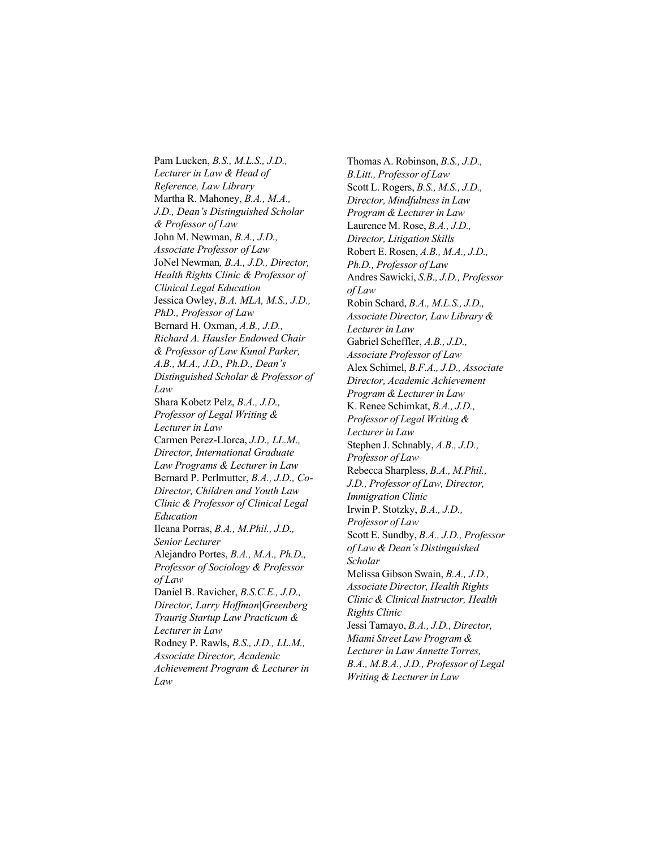Pam Lucken, *B.S., M.L.S., J.D., Lecturer in Law & Head of Reference, Law Library*  Martha R. Mahoney, *B.A., M.A., J.D., Dean's Distinguished Scholar & Professor of Law* John M. Newman, *B.A., J.D., Associate Professor of Law* JoNel Newman*, B.A., J.D., Director, Health Rights Clinic & Professor of Clinical Legal Education* Jessica Owley, *B.A. MLA, M.S., J.D., PhD., Professor of Law* Bernard H. Oxman, *A.B., J.D., Richard A. Hausler Endowed Chair & Professor of Law Kunal Parker, A.B., M.A., J.D., Ph.D., Dean's Distinguished Scholar & Professor of Law* Shara Kobetz Pelz, *B.A., J.D., Professor of Legal Writing & Lecturer in Law* Carmen Perez-Llorca, *J.D., LL.M., Director, International Graduate Law Programs & Lecturer in Law* Bernard P. Perlmutter, *B.A., J.D., Co-Director, Children and Youth Law Clinic & Professor of Clinical Legal Education* Ileana Porras, *B.A., M.Phil., J.D., Senior Lecturer* Alejandro Portes, *B.A., M.A., Ph.D., Professor of Sociology & Professor of Law* Daniel B. Ravicher, *B.S.C.E., J.D., Director, Larry Hoffman|Greenberg Traurig Startup Law Practicum & Lecturer in Law* Rodney P. Rawls, *B.S., J.D., LL.M., Associate Director, Academic Achievement Program & Lecturer in Law*

Thomas A. Robinson, *B.S., J.D., B.Litt., Professor of Law* Scott L. Rogers, *B.S., M.S., J.D., Director, Mindfulness in Law Program & Lecturer in Law* Laurence M. Rose, *B.A., J.D., Director, Litigation Skills* Robert E. Rosen, *A.B., M.A., J.D., Ph.D., Professor of Law* Andres Sawicki, *S.B., J.D., Professor of Law* Robin Schard, *B.A., M.L.S., J.D., Associate Director, Law Library & Lecturer in Law* Gabriel Scheffler, *A.B., J.D., Associate Professor of Law* Alex Schimel, *B.F.A., J.D., Associate Director, Academic Achievement Program & Lecturer in Law* K. Renee Schimkat, *B.A., J.D., Professor of Legal Writing & Lecturer in Law* Stephen J. Schnably, *A.B., J.D., Professor of Law* Rebecca Sharpless, *B.A., M.Phil., J.D., Professor of Law, Director, Immigration Clinic* Irwin P. Stotzky, *B.A., J.D., Professor of Law* Scott E. Sundby, *B.A., J.D., Professor of Law & Dean's Distinguished Scholar* Melissa Gibson Swain, *B.A., J.D., Associate Director, Health Rights Clinic & Clinical Instructor, Health Rights Clinic* Jessi Tamayo, *B.A., J.D., Director, Miami Street Law Program & Lecturer in Law Annette Torres, B.A., M.B.A., J.D., Professor of Legal Writing & Lecturer in Law*